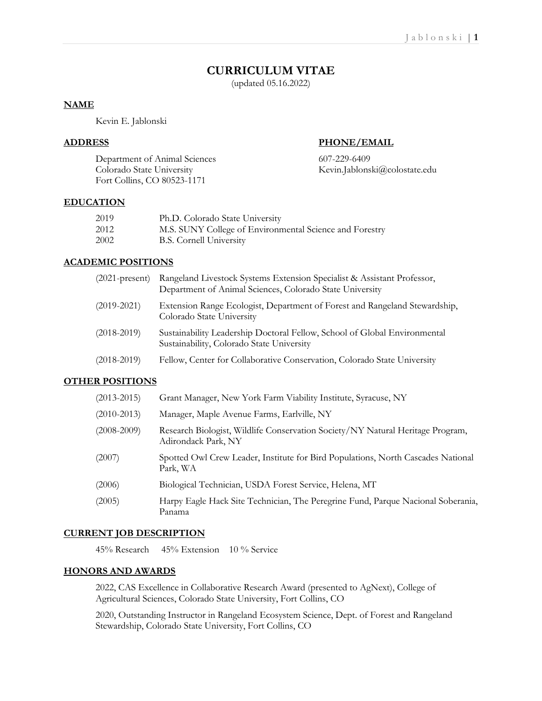# **CURRICULUM VITAE**

(updated 05.16.2022)

## **NAME**

Kevin E. Jablonski

## **ADDRESS PHONE/EMAIL**

Department of Animal Sciences 607-229-6409 Colorado State University Kevin.Jablonski@colostate.edu Fort Collins, CO 80523-1171

## **EDUCATION**

| 2019 | Ph.D. Colorado State University                         |
|------|---------------------------------------------------------|
| 2012 | M.S. SUNY College of Environmental Science and Forestry |
| 2002 | <b>B.S. Cornell University</b>                          |

## **ACADEMIC POSITIONS**

| $(2021$ -present) | Rangeland Livestock Systems Extension Specialist & Assistant Professor,<br>Department of Animal Sciences, Colorado State University |
|-------------------|-------------------------------------------------------------------------------------------------------------------------------------|
| $(2019 - 2021)$   | Extension Range Ecologist, Department of Forest and Rangeland Stewardship,<br>Colorado State University                             |
| $(2018 - 2019)$   | Sustainability Leadership Doctoral Fellow, School of Global Environmental<br>Sustainability, Colorado State University              |
| $(2018-2019)$     | Fellow, Center for Collaborative Conservation, Colorado State University                                                            |

## **OTHER POSITIONS**

| $(2013 - 2015)$ | Grant Manager, New York Farm Viability Institute, Syracuse, NY                                        |
|-----------------|-------------------------------------------------------------------------------------------------------|
| $(2010 - 2013)$ | Manager, Maple Avenue Farms, Earlville, NY                                                            |
| $(2008 - 2009)$ | Research Biologist, Wildlife Conservation Society/NY Natural Heritage Program,<br>Adirondack Park, NY |
| (2007)          | Spotted Owl Crew Leader, Institute for Bird Populations, North Cascades National<br>Park, WA          |
| (2006)          | Biological Technician, USDA Forest Service, Helena, MT                                                |
| (2005)          | Harpy Eagle Hack Site Technician, The Peregrine Fund, Parque Nacional Soberania,<br>Panama            |

## **CURRENT JOB DESCRIPTION**

45% Research 45% Extension 10 % Service

## **HONORS AND AWARDS**

2022, CAS Excellence in Collaborative Research Award (presented to AgNext), College of Agricultural Sciences, Colorado State University, Fort Collins, CO

2020, Outstanding Instructor in Rangeland Ecosystem Science, Dept. of Forest and Rangeland Stewardship, Colorado State University, Fort Collins, CO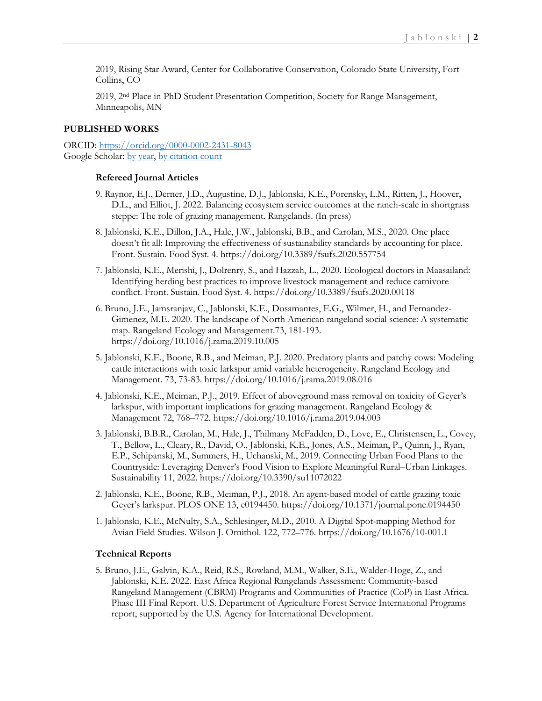2019, Rising Star Award, Center for Collaborative Conservation, Colorado State University, Fort Collins, CO

2019, 2nd Place in PhD Student Presentation Competition, Society for Range Management, Minneapolis, MN

## **PUBLISHED WORKS**

ORCID:<https://orcid.org/0000-0002-2431-8043> Google Scholar: [by year,](https://scholar.google.com/citations?hl=en&user=3x7VcREAAAAJ&view_op=list_works&sortby=pubdate) [by citation count](https://scholar.google.com/citations?hl=en&user=3x7VcREAAAAJ&view_op=list_works)

### **Refereed Journal Articles**

- 9. Raynor, E.J., Derner, J.D., Augustine, D.J., Jablonski, K.E., Porensky, L.M., Ritten, J., Hoover, D.L., and Elliot, J. 2022. Balancing ecosystem service outcomes at the ranch-scale in shortgrass steppe: The role of grazing management. Rangelands. (In press)
- 8. Jablonski, K.E., Dillon, J.A., Hale, J.W., Jablonski, B.B., and Carolan, M.S., 2020. One place doesn't fit all: Improving the effectiveness of sustainability standards by accounting for place. Front. Sustain. Food Syst. 4. https://doi.org/10.3389/fsufs.2020.557754
- 7. Jablonski, K.E., Merishi, J., Dolrenry, S., and Hazzah, L., 2020. Ecological doctors in Maasailand: Identifying herding best practices to improve livestock management and reduce carnivore conflict. Front. Sustain. Food Syst. 4. https://doi.org/10.3389/fsufs.2020.00118
- 6. Bruno, J.E., Jamsranjav, C., Jablonski, K.E., Dosamantes, E.G., Wilmer, H., and Fernandez-Gimenez, M.E. 2020. The landscape of North American rangeland social science: A systematic map. Rangeland Ecology and Management.73, 181-193. https://doi.org/10.1016/j.rama.2019.10.005
- 5. Jablonski, K.E., Boone, R.B., and Meiman, P.J. 2020. Predatory plants and patchy cows: Modeling cattle interactions with toxic larkspur amid variable heterogeneity. Rangeland Ecology and Management. 73, 73-83. https://doi.org/10.1016/j.rama.2019.08.016
- 4. Jablonski, K.E., Meiman, P.J., 2019. Effect of aboveground mass removal on toxicity of Geyer's larkspur, with important implications for grazing management. Rangeland Ecology & Management 72, 768–772. https://doi.org/10.1016/j.rama.2019.04.003
- 3. Jablonski, B.B.R., Carolan, M., Hale, J., Thilmany McFadden, D., Love, E., Christensen, L., Covey, T., Bellow, L., Cleary, R., David, O., Jablonski, K.E., Jones, A.S., Meiman, P., Quinn, J., Ryan, E.P., Schipanski, M., Summers, H., Uchanski, M., 2019. Connecting Urban Food Plans to the Countryside: Leveraging Denver's Food Vision to Explore Meaningful Rural–Urban Linkages. Sustainability 11, 2022. https://doi.org/10.3390/su11072022
- 2. Jablonski, K.E., Boone, R.B., Meiman, P.J., 2018. An agent-based model of cattle grazing toxic Geyer's larkspur. PLOS ONE 13, e0194450. https://doi.org/10.1371/journal.pone.0194450
- 1. Jablonski, K.E., McNulty, S.A., Schlesinger, M.D., 2010. A Digital Spot-mapping Method for Avian Field Studies. Wilson J. Ornithol. 122, 772–776. https://doi.org/10.1676/10-001.1

#### **Technical Reports**

5. Bruno, J.E., Galvin, K.A., Reid, R.S., Rowland, M.M., Walker, S.E., Walder-Hoge, Z., and Jablonski, K.E. 2022. East Africa Regional Rangelands Assessment: Community-based Rangeland Management (CBRM) Programs and Communities of Practice (CoP) in East Africa. Phase III Final Report. U.S. Department of Agriculture Forest Service International Programs report, supported by the U.S. Agency for International Development.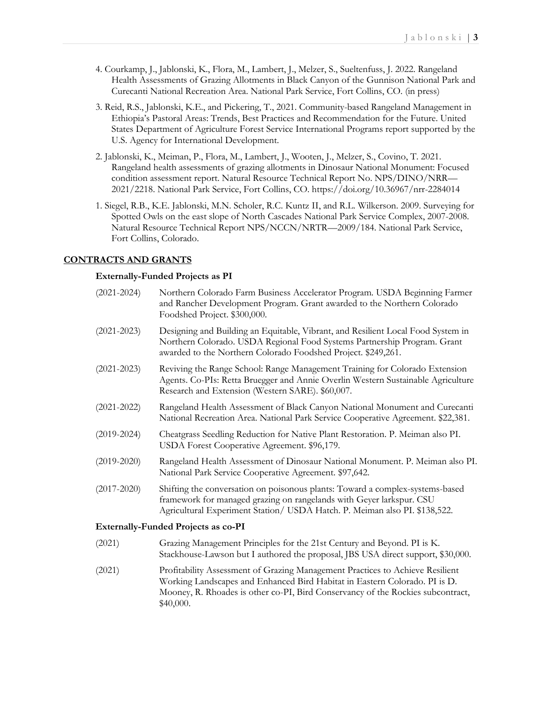- 4. Courkamp, J., Jablonski, K., Flora, M., Lambert, J., Melzer, S., Sueltenfuss, J. 2022. Rangeland Health Assessments of Grazing Allotments in Black Canyon of the Gunnison National Park and Curecanti National Recreation Area. National Park Service, Fort Collins, CO. (in press)
- 3. Reid, R.S., Jablonski, K.E., and Pickering, T., 2021. Community-based Rangeland Management in Ethiopia's Pastoral Areas: Trends, Best Practices and Recommendation for the Future. United States Department of Agriculture Forest Service International Programs report supported by the U.S. Agency for International Development.
- 2. Jablonski, K., Meiman, P., Flora, M., Lambert, J., Wooten, J., Melzer, S., Covino, T. 2021. Rangeland health assessments of grazing allotments in Dinosaur National Monument: Focused condition assessment report. Natural Resource Technical Report No. NPS/DINO/NRR— 2021/2218. National Park Service, Fort Collins, CO. https://doi.org/10.36967/nrr-2284014
- 1. Siegel, R.B., K.E. Jablonski, M.N. Scholer, R.C. Kuntz II, and R.L. Wilkerson. 2009. Surveying for Spotted Owls on the east slope of North Cascades National Park Service Complex, 2007-2008. Natural Resource Technical Report NPS/NCCN/NRTR—2009/184. National Park Service, Fort Collins, Colorado.

## **CONTRACTS AND GRANTS**

## **Externally-Funded Projects as PI**

| $(2021 - 2024)$ | Northern Colorado Farm Business Accelerator Program. USDA Beginning Farmer<br>and Rancher Development Program. Grant awarded to the Northern Colorado<br>Foodshed Project. \$300,000.                                               |  |  |
|-----------------|-------------------------------------------------------------------------------------------------------------------------------------------------------------------------------------------------------------------------------------|--|--|
| $(2021 - 2023)$ | Designing and Building an Equitable, Vibrant, and Resilient Local Food System in<br>Northern Colorado. USDA Regional Food Systems Partnership Program. Grant<br>awarded to the Northern Colorado Foodshed Project. \$249,261.       |  |  |
| $(2021 - 2023)$ | Reviving the Range School: Range Management Training for Colorado Extension<br>Agents. Co-PIs: Retta Bruegger and Annie Overlin Western Sustainable Agriculture<br>Research and Extension (Western SARE). \$60,007.                 |  |  |
| $(2021 - 2022)$ | Rangeland Health Assessment of Black Canyon National Monument and Curecanti<br>National Recreation Area. National Park Service Cooperative Agreement. \$22,381.                                                                     |  |  |
| $(2019 - 2024)$ | Cheatgrass Seedling Reduction for Native Plant Restoration. P. Meiman also PI.<br>USDA Forest Cooperative Agreement. \$96,179.                                                                                                      |  |  |
| $(2019 - 2020)$ | Rangeland Health Assessment of Dinosaur National Monument. P. Meiman also PI.<br>National Park Service Cooperative Agreement. \$97,642.                                                                                             |  |  |
| $(2017 - 2020)$ | Shifting the conversation on poisonous plants: Toward a complex-systems-based<br>framework for managed grazing on rangelands with Geyer larkspur. CSU<br>Agricultural Experiment Station/ USDA Hatch. P. Meiman also PI. \$138,522. |  |  |
|                 | <b>Externally-Funded Projects as co-PI</b>                                                                                                                                                                                          |  |  |
| (2021)          | Grazing Management Principles for the 21st Century and Beyond. PI is K.<br>Stackhouse-Lawson but I authored the proposal, JBS USA direct support, \$30,000.                                                                         |  |  |

(2021) Profitability Assessment of Grazing Management Practices to Achieve Resilient Working Landscapes and Enhanced Bird Habitat in Eastern Colorado. PI is D. Mooney, R. Rhoades is other co-PI, Bird Conservancy of the Rockies subcontract, \$40,000.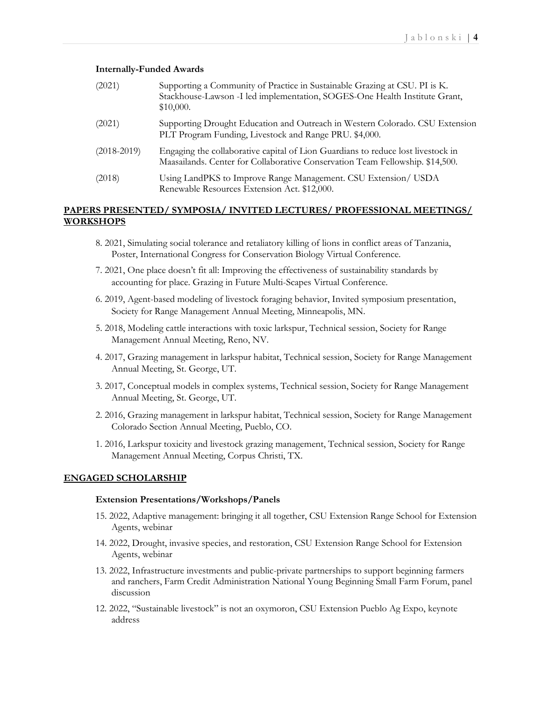#### **Internally-Funded Awards**

| (2021)          | Supporting a Community of Practice in Sustainable Grazing at CSU. PI is K.<br>Stackhouse-Lawson -I led implementation, SOGES-One Health Institute Grant,<br>\$10,000. |
|-----------------|-----------------------------------------------------------------------------------------------------------------------------------------------------------------------|
| (2021)          | Supporting Drought Education and Outreach in Western Colorado. CSU Extension<br>PLT Program Funding, Livestock and Range PRU. \$4,000.                                |
| $(2018 - 2019)$ | Engaging the collaborative capital of Lion Guardians to reduce lost livestock in<br>Maasailands. Center for Collaborative Conservation Team Fellowship. \$14,500.     |
| (2018)          | Using LandPKS to Improve Range Management. CSU Extension/ USDA<br>Renewable Resources Extension Act. \$12,000.                                                        |

## **PAPERS PRESENTED/ SYMPOSIA/ INVITED LECTURES/ PROFESSIONAL MEETINGS/ WORKSHOPS**

- 8. 2021, Simulating social tolerance and retaliatory killing of lions in conflict areas of Tanzania, Poster, International Congress for Conservation Biology Virtual Conference.
- 7. 2021, One place doesn't fit all: Improving the effectiveness of sustainability standards by accounting for place. Grazing in Future Multi-Scapes Virtual Conference.
- 6. 2019, Agent-based modeling of livestock foraging behavior, Invited symposium presentation, Society for Range Management Annual Meeting, Minneapolis, MN.
- 5. 2018, Modeling cattle interactions with toxic larkspur, Technical session, Society for Range Management Annual Meeting, Reno, NV.
- 4. 2017, Grazing management in larkspur habitat, Technical session, Society for Range Management Annual Meeting, St. George, UT.
- 3. 2017, Conceptual models in complex systems, Technical session, Society for Range Management Annual Meeting, St. George, UT.
- 2. 2016, Grazing management in larkspur habitat, Technical session, Society for Range Management Colorado Section Annual Meeting, Pueblo, CO.
- 1. 2016, Larkspur toxicity and livestock grazing management, Technical session, Society for Range Management Annual Meeting, Corpus Christi, TX.

## **ENGAGED SCHOLARSHIP**

#### **Extension Presentations/Workshops/Panels**

- 15. 2022, Adaptive management: bringing it all together, CSU Extension Range School for Extension Agents, webinar
- 14. 2022, Drought, invasive species, and restoration, CSU Extension Range School for Extension Agents, webinar
- 13. 2022, Infrastructure investments and public-private partnerships to support beginning farmers and ranchers, Farm Credit Administration National Young Beginning Small Farm Forum, panel discussion
- 12. 2022, "Sustainable livestock" is not an oxymoron, CSU Extension Pueblo Ag Expo, keynote address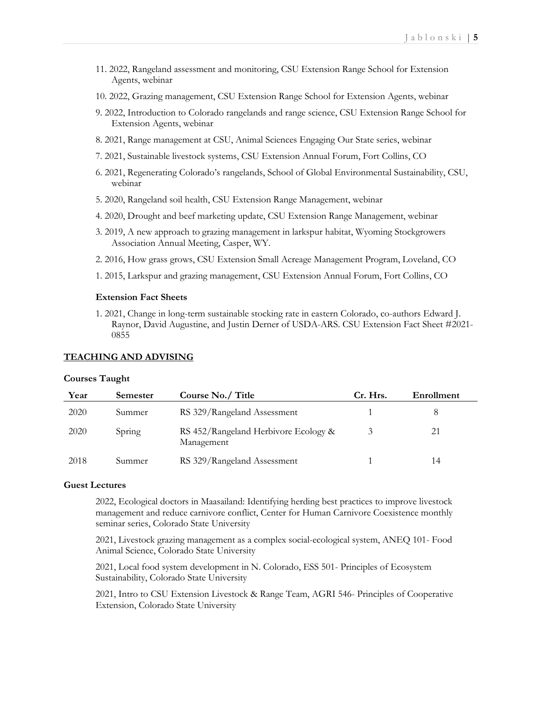- 11. 2022, Rangeland assessment and monitoring, CSU Extension Range School for Extension Agents, webinar
- 10. 2022, Grazing management, CSU Extension Range School for Extension Agents, webinar
- 9. 2022, Introduction to Colorado rangelands and range science, CSU Extension Range School for Extension Agents, webinar
- 8. 2021, Range management at CSU, Animal Sciences Engaging Our State series, webinar
- 7. 2021, Sustainable livestock systems, CSU Extension Annual Forum, Fort Collins, CO
- 6. 2021, Regenerating Colorado's rangelands, School of Global Environmental Sustainability, CSU, webinar
- 5. 2020, Rangeland soil health, CSU Extension Range Management, webinar
- 4. 2020, Drought and beef marketing update, CSU Extension Range Management, webinar
- 3. 2019, A new approach to grazing management in larkspur habitat, Wyoming Stockgrowers Association Annual Meeting, Casper, WY.
- 2. 2016, How grass grows, CSU Extension Small Acreage Management Program, Loveland, CO
- 1. 2015, Larkspur and grazing management, CSU Extension Annual Forum, Fort Collins, CO

#### **Extension Fact Sheets**

1. 2021, Change in long-term sustainable stocking rate in eastern Colorado, co-authors Edward J. Raynor, David Augustine, and Justin Derner of USDA-ARS. CSU Extension Fact Sheet #2021- 0855

#### **TEACHING AND ADVISING**

#### **Courses Taught**

| Year | Semester | Course No./ Title                                  | Cr. Hrs. | Enrollment |
|------|----------|----------------------------------------------------|----------|------------|
| 2020 | Summer   | RS 329/Rangeland Assessment                        |          |            |
| 2020 | Spring   | RS 452/Rangeland Herbivore Ecology &<br>Management |          | 21         |
| 2018 | Summer   | RS 329/Rangeland Assessment                        |          | 14         |

#### **Guest Lectures**

2022, Ecological doctors in Maasailand: Identifying herding best practices to improve livestock management and reduce carnivore conflict, Center for Human Carnivore Coexistence monthly seminar series, Colorado State University

2021, Livestock grazing management as a complex social-ecological system, ANEQ 101- Food Animal Science, Colorado State University

2021, Local food system development in N. Colorado, ESS 501- Principles of Ecosystem Sustainability, Colorado State University

2021, Intro to CSU Extension Livestock & Range Team, AGRI 546- Principles of Cooperative Extension, Colorado State University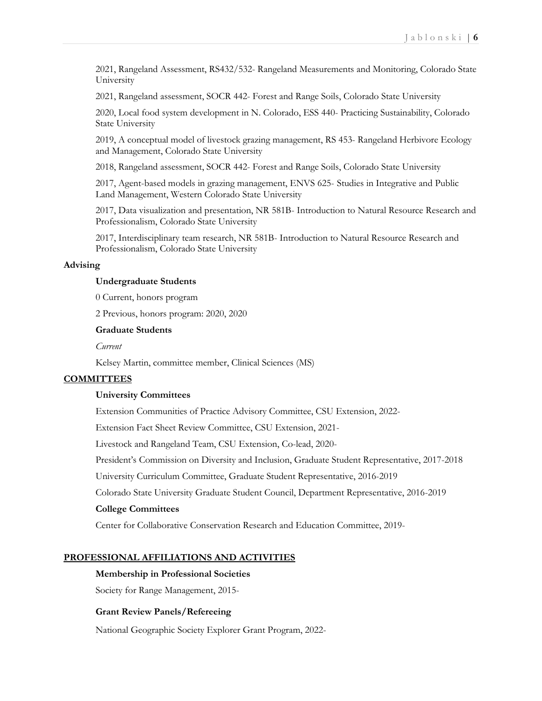2021, Rangeland Assessment, RS432/532- Rangeland Measurements and Monitoring, Colorado State University

2021, Rangeland assessment, SOCR 442- Forest and Range Soils, Colorado State University

2020, Local food system development in N. Colorado, ESS 440- Practicing Sustainability, Colorado State University

2019, A conceptual model of livestock grazing management, RS 453- Rangeland Herbivore Ecology and Management, Colorado State University

2018, Rangeland assessment, SOCR 442- Forest and Range Soils, Colorado State University

2017, Agent-based models in grazing management, ENVS 625- Studies in Integrative and Public Land Management, Western Colorado State University

2017, Data visualization and presentation, NR 581B- Introduction to Natural Resource Research and Professionalism, Colorado State University

2017, Interdisciplinary team research, NR 581B- Introduction to Natural Resource Research and Professionalism, Colorado State University

## **Advising**

#### **Undergraduate Students**

0 Current, honors program

2 Previous, honors program: 2020, 2020

#### **Graduate Students**

*Current*

Kelsey Martin, committee member, Clinical Sciences (MS)

#### **COMMITTEES**

#### **University Committees**

Extension Communities of Practice Advisory Committee, CSU Extension, 2022-

Extension Fact Sheet Review Committee, CSU Extension, 2021-

Livestock and Rangeland Team, CSU Extension, Co-lead, 2020-

President's Commission on Diversity and Inclusion, Graduate Student Representative, 2017-2018

University Curriculum Committee, Graduate Student Representative, 2016-2019

Colorado State University Graduate Student Council, Department Representative, 2016-2019

#### **College Committees**

Center for Collaborative Conservation Research and Education Committee, 2019-

#### **PROFESSIONAL AFFILIATIONS AND ACTIVITIES**

#### **Membership in Professional Societies**

Society for Range Management, 2015-

#### **Grant Review Panels/Refereeing**

National Geographic Society Explorer Grant Program, 2022-